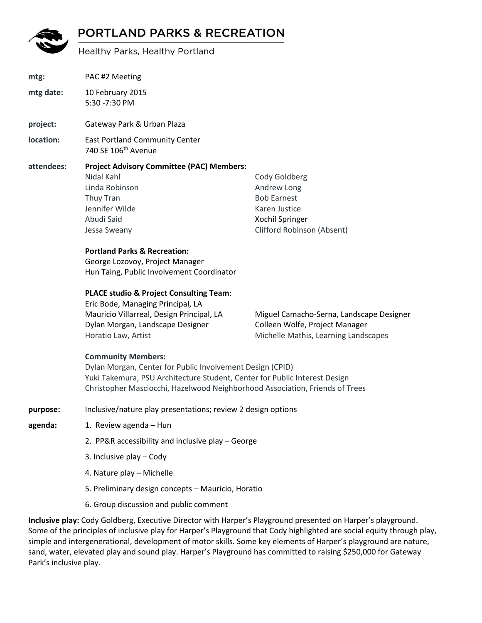## PORTLAND PARKS & RECREATION

Healthy Parks, Healthy Portland

| mtg:       | PAC#2 Meeting                                                                                                                                                                                                                                        |                                                                                                                      |
|------------|------------------------------------------------------------------------------------------------------------------------------------------------------------------------------------------------------------------------------------------------------|----------------------------------------------------------------------------------------------------------------------|
| mtg date:  | 10 February 2015<br>5:30 -7:30 PM                                                                                                                                                                                                                    |                                                                                                                      |
| project:   | Gateway Park & Urban Plaza                                                                                                                                                                                                                           |                                                                                                                      |
| location:  | <b>East Portland Community Center</b><br>740 SE 106 <sup>th</sup> Avenue                                                                                                                                                                             |                                                                                                                      |
| attendees: | <b>Project Advisory Committee (PAC) Members:</b><br>Nidal Kahl<br>Linda Robinson<br>Thuy Tran<br>Jennifer Wilde<br>Abudi Said<br>Jessa Sweany                                                                                                        | Cody Goldberg<br>Andrew Long<br><b>Bob Earnest</b><br>Karen Justice<br>Xochil Springer<br>Clifford Robinson (Absent) |
|            | <b>Portland Parks &amp; Recreation:</b><br>George Lozovoy, Project Manager<br>Hun Taing, Public Involvement Coordinator                                                                                                                              |                                                                                                                      |
|            | <b>PLACE studio &amp; Project Consulting Team:</b><br>Eric Bode, Managing Principal, LA<br>Mauricio Villarreal, Design Principal, LA<br>Dylan Morgan, Landscape Designer<br>Horatio Law, Artist                                                      | Miguel Camacho-Serna, Landscape Designer<br>Colleen Wolfe, Project Manager<br>Michelle Mathis, Learning Landscapes   |
|            | <b>Community Members:</b><br>Dylan Morgan, Center for Public Involvement Design (CPID)<br>Yuki Takemura, PSU Architecture Student, Center for Public Interest Design<br>Christopher Masciocchi, Hazelwood Neighborhood Association, Friends of Trees |                                                                                                                      |
| purpose:   | Inclusive/nature play presentations; review 2 design options                                                                                                                                                                                         |                                                                                                                      |
| agenda:    | 1. Review agenda - Hun                                                                                                                                                                                                                               |                                                                                                                      |
|            | 2. PP&R accessibility and inclusive play - George                                                                                                                                                                                                    |                                                                                                                      |
|            | 3. Inclusive play - Cody                                                                                                                                                                                                                             |                                                                                                                      |
|            | 4. Nature play - Michelle                                                                                                                                                                                                                            |                                                                                                                      |
|            | 5. Preliminary design concepts - Mauricio, Horatio                                                                                                                                                                                                   |                                                                                                                      |
|            | 6. Group discussion and public comment                                                                                                                                                                                                               |                                                                                                                      |
|            | Inclusive play: Cody Goldberg, Executive Director with Harper's Playground presented on Harper's playground.<br>Some of the principles of inclusive play for Harper's Playground that Cody highlighted are social equity through                     |                                                                                                                      |

Some of the principles of inclusive play for Harper's Playground that Cody highlighted are social equity through play, simple and intergenerational, development of motor skills. Some key elements of Harper's playground are nature, sand, water, elevated play and sound play. Harper's Playground has committed to raising \$250,000 for Gateway Park's inclusive play.